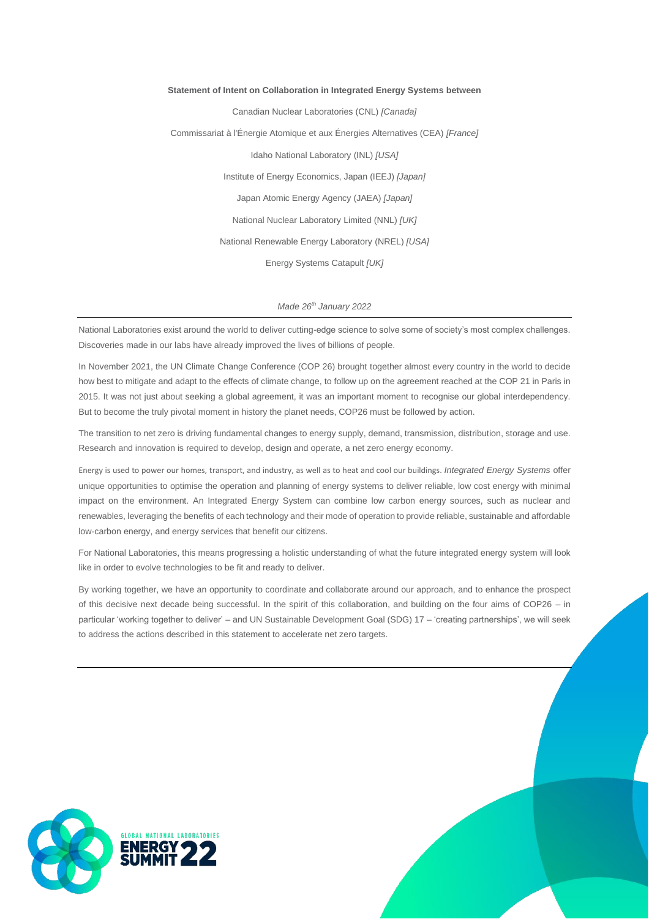# **Statement of Intent on Collaboration in Integrated Energy Systems between**

Canadian Nuclear Laboratories (CNL) *[Canada]* Commissariat à l'Énergie Atomique et aux Énergies Alternatives (CEA) *[France]* Idaho National Laboratory (INL) *[USA]* Institute of Energy Economics, Japan (IEEJ) *[Japan]* Japan Atomic Energy Agency (JAEA) *[Japan]* National Nuclear Laboratory Limited (NNL) *[UK]* National Renewable Energy Laboratory (NREL) *[USA]* Energy Systems Catapult *[UK]*

# *Made 26th January 2022*

National Laboratories exist around the world to deliver cutting-edge science to solve some of society's most complex challenges. Discoveries made in our labs have already improved the lives of billions of people.

In November 2021, the UN Climate Change Conference (COP 26) brought together almost every country in the world to decide how best to mitigate and adapt to the effects of climate change, to follow up on the agreement reached at the COP 21 in Paris in 2015. It was not just about seeking a global agreement, it was an important moment to recognise our global interdependency. But to become the truly pivotal moment in history the planet needs, COP26 must be followed by action.

The transition to net zero is driving fundamental changes to energy supply, demand, transmission, distribution, storage and use. Research and innovation is required to develop, design and operate, a net zero energy economy.

Energy is used to power our homes, transport, and industry, as well as to heat and cool our buildings. *Integrated Energy Systems* offer unique opportunities to optimise the operation and planning of energy systems to deliver reliable, low cost energy with minimal impact on the environment. An Integrated Energy System can combine low carbon energy sources, such as nuclear and renewables, leveraging the benefits of each technology and their mode of operation to provide reliable, sustainable and affordable low-carbon energy, and energy services that benefit our citizens.

For National Laboratories, this means progressing a holistic understanding of what the future integrated energy system will look like in order to evolve technologies to be fit and ready to deliver.

By working together, we have an opportunity to coordinate and collaborate around our approach, and to enhance the prospect of this decisive next decade being successful. In the spirit of this collaboration, and building on the four aims of COP26 – in particular 'working together to deliver' – and UN Sustainable Development Goal (SDG) 17 – 'creating partnerships', we will seek to address the actions described in this statement to accelerate net zero targets.